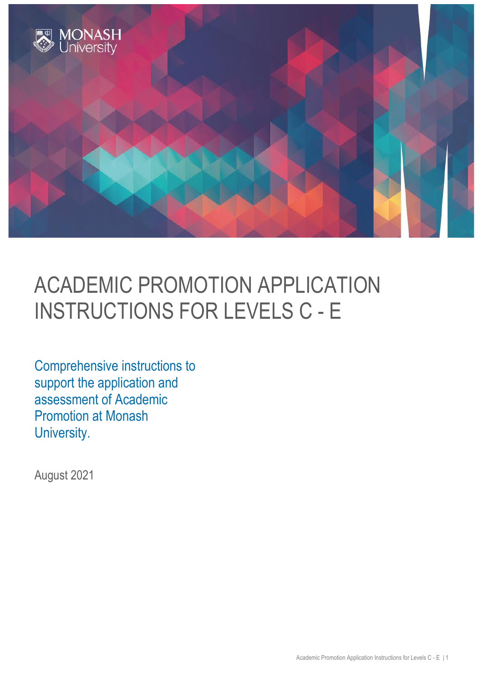

# ACADEMIC PROMOTION APPLICATION INSTRUCTIONS FOR LEVELS C - E

Comprehensive instructions to support the application and assessment of Academic Promotion at Monash University.

August 2021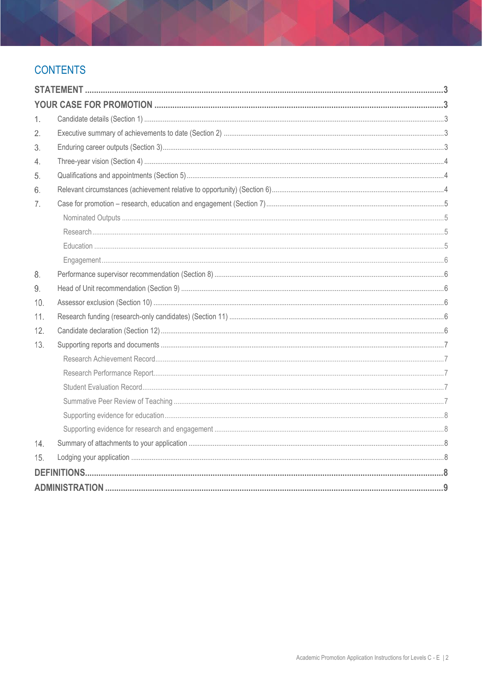# **CONTENTS**

| 1.  |  |
|-----|--|
| 2.  |  |
| 3.  |  |
| 4.  |  |
| 5.  |  |
| 6.  |  |
| 7.  |  |
|     |  |
|     |  |
|     |  |
|     |  |
| 8.  |  |
| 9.  |  |
| 10. |  |
| 11. |  |
| 12. |  |
| 13. |  |
|     |  |
|     |  |
|     |  |
|     |  |
|     |  |
|     |  |
| 14. |  |
| 15. |  |
|     |  |
|     |  |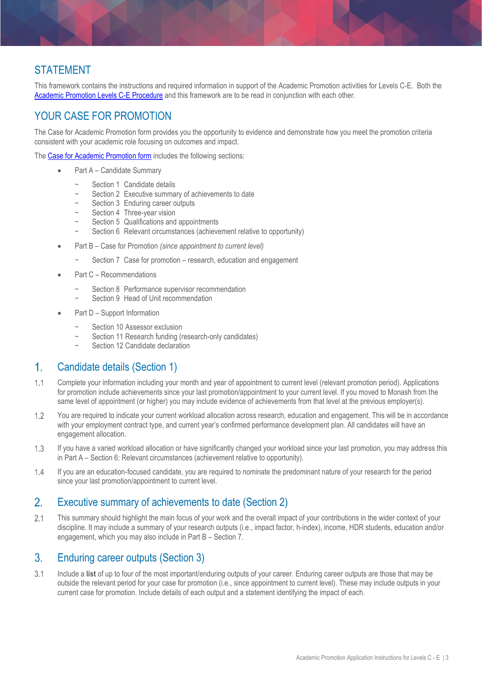# <span id="page-2-0"></span>STATEMENT

This framework contains the instructions and required information in support of the Academic Promotion activities for Levels C-E. Both the [Academic Promotion Levels C-E](https://www.monash.edu/__data/assets/pdf_file/0020/783002/Academic-Promotion-Level-C-E.pdf) Procedure and this framework are to be read in conjunction with each other.

# <span id="page-2-1"></span>YOUR CASE FOR PROMOTION

The Case for Academic Promotion form provides you the opportunity to evidence and demonstrate how you meet the promotion criteria consistent with your academic role focusing on outcomes and impact.

The [Case for Academic Promotion form](https://www.monash.edu/__data/assets/word_doc/0015/1810230/Case-for-Academic-Promotion-Form-Levels-C-E-2019.docx) includes the following sections:

- Part A Candidate Summary
	- − Section 1 Candidate details
	- Section 2 Executive summary of achievements to date
	- − Section 3 Enduring career outputs
	- Section 4 Three-year vision
	- Section 5 Qualifications and appointments
	- Section 6 Relevant circumstances (achievement relative to opportunity)
- Part B Case for Promotion *(since appointment to current level)*
	- Section 7 Case for promotion research, education and engagement
- Part C Recommendations
	- Section 8 Performance supervisor recommendation
	- − Section 9 Head of Unit recommendation
- Part D Support Information
	- Section 10 Assessor exclusion
	- − Section 11 Research funding (research-only candidates)
	- − Section 12 Candidate declaration

#### <span id="page-2-2"></span> $1<sub>1</sub>$ Candidate details (Section 1)

- $1.1$ Complete your information including your month and year of appointment to current level (relevant promotion period). Applications for promotion include achievements since your last promotion/appointment to your current level. If you moved to Monash from the same level of appointment (or higher) you may include evidence of achievements from that level at the previous employer(s).
- $1.2$ You are required to indicate your current workload allocation across research, education and engagement. This will be in accordance with your employment contract type, and current year's confirmed performance development plan. All candidates will have an engagement allocation.
- $1.3$ If you have a varied workload allocation or have significantly changed your workload since your last promotion, you may address this in Part A – Section 6: Relevant circumstances (achievement relative to opportunity).
- $1.4$ If you are an education-focused candidate, you are required to nominate the predominant nature of your research for the period since your last promotion/appointment to current level.

#### <span id="page-2-3"></span> $2.$ Executive summary of achievements to date (Section 2)

 $2.1$ This summary should highlight the main focus of your work and the overall impact of your contributions in the wider context of your discipline. It may include a summary of your research outputs (i.e., impact factor, h-index), income, HDR students, education and/or engagement, which you may also include in Part B – Section 7.

#### <span id="page-2-4"></span> $3<sub>1</sub>$ Enduring career outputs (Section 3)

 $3.1$ Include a **list** of up to four of the most important/enduring outputs of your career. Enduring career outputs are those that may be outside the relevant period for your case for promotion (i.e., since appointment to current level). These may include outputs in your current case for promotion. Include details of each output and a statement identifying the impact of each.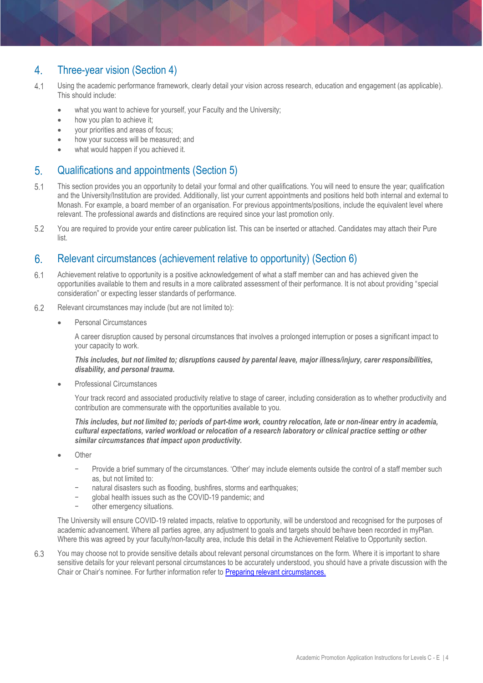#### <span id="page-3-0"></span> $\overline{4}$ . Three-year vision (Section 4)

- $4.1$ Using the academic performance framework, clearly detail your vision across research, education and engagement (as applicable). This should include:
	- what you want to achieve for yourself, your Faculty and the University;
	- how you plan to achieve it;
	- your priorities and areas of focus;
	- how your success will be measured; and
	- what would happen if you achieved it.

#### <span id="page-3-1"></span> $5<sub>1</sub>$ Qualifications and appointments (Section 5)

- $5.1$ This section provides you an opportunity to detail your formal and other qualifications. You will need to ensure the year; qualification and the University/Institution are provided. Additionally, list your current appointments and positions held both internal and external to Monash. For example, a board member of an organisation. For previous appointments/positions, include the equivalent level where relevant. The professional awards and distinctions are required since your last promotion only.
- 52 You are required to provide your entire career publication list. This can be inserted or attached. Candidates may attach their Pure list.

#### <span id="page-3-2"></span> $6<sub>1</sub>$ Relevant circumstances (achievement relative to opportunity) (Section 6)

- 6.1 Achievement relative to opportunity is a positive acknowledgement of what a staff member can and has achieved given the opportunities available to them and results in a more calibrated assessment of their performance. It is not about providing "special consideration" or expecting lesser standards of performance.
- 6.2 Relevant circumstances may include (but are not limited to):
	- Personal Circumstances

A career disruption caused by personal circumstances that involves a prolonged interruption or poses a significant impact to your capacity to work.

*This includes, but not limited to; disruptions caused by parental leave, major illness/injury, carer responsibilities, disability, and personal trauma.*

• Professional Circumstances

Your track record and associated productivity relative to stage of career, including consideration as to whether productivity and contribution are commensurate with the opportunities available to you.

*This includes, but not limited to; periods of part-time work, country relocation, late or non-linear entry in academia, cultural expectations, varied workload or relocation of a research laboratory or clinical practice setting or other similar circumstances that impact upon productivity.*

- **Other** 
	- − Provide a brief summary of the circumstances. 'Other' may include elements outside the control of a staff member such as, but not limited to:
	- natural disasters such as flooding, bushfires, storms and earthquakes;
	- − global health issues such as the COVID-19 pandemic; and
	- other emergency situations.

The University will ensure COVID-19 related impacts, relative to opportunity, will be understood and recognised for the purposes of academic advancement. Where all parties agree, any adjustment to goals and targets should be/have been recorded in myPlan. Where this was agreed by your faculty/non-faculty area, include this detail in the Achievement Relative to Opportunity section.

6.3 You may choose not to provide sensitive details about relevant personal circumstances on the form. Where it is important to share sensitive details for your relevant personal circumstances to be accurately understood, you should have a private discussion with the Chair or Chair's nominee. For further information refer to [Preparing relevant circumstances.](http://www.adm.monash.edu.au/human-resources/academic-promotion/rpc-suggestions.html)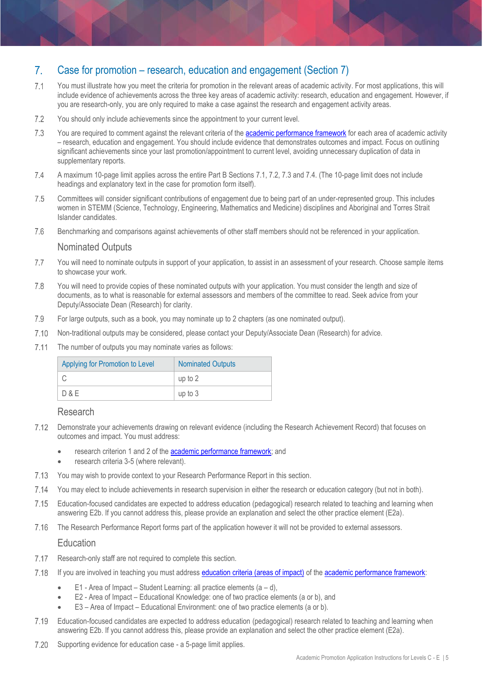#### <span id="page-4-0"></span>Case for promotion – research, education and engagement (Section 7)  $7<sub>1</sub>$

- $7.1$ You must illustrate how you meet the criteria for promotion in the relevant areas of academic activity. For most applications, this will include evidence of achievements across the three key areas of academic activity: research, education and engagement. However, if you are research-only, you are only required to make a case against the research and engagement activity areas.
- $7.2$ You should only include achievements since the appointment to your current level.
- 7.3 You are required to comment against the relevant criteria of the [academic performance framework](https://www.monash.edu/academicpromotion/academic-performance-framework) for each area of academic activity – research, education and engagement. You should include evidence that demonstrates outcomes and impact. Focus on outlining significant achievements since your last promotion/appointment to current level, avoiding unnecessary duplication of data in supplementary reports.
- 74 A maximum 10-page limit applies across the entire Part B Sections 7.1, 7.2, 7.3 and 7.4. (The 10-page limit does not include headings and explanatory text in the case for promotion form itself).
- 7.5 Committees will consider significant contributions of engagement due to being part of an under-represented group. This includes women in STEMM (Science, Technology, Engineering, Mathematics and Medicine) disciplines and Aboriginal and Torres Strait Islander candidates.
- <span id="page-4-1"></span>7.6 Benchmarking and comparisons against achievements of other staff members should not be referenced in your application.

### Nominated Outputs

- $7.7$ You will need to nominate outputs in support of your application, to assist in an assessment of your research. Choose sample items to showcase your work.
- 7.8 You will need to provide copies of these nominated outputs with your application. You must consider the length and size of documents, as to what is reasonable for external assessors and members of the committee to read. Seek advice from your Deputy/Associate Dean (Research) for clarity.
- 7.9 For large outputs, such as a book, you may nominate up to 2 chapters (as one nominated output).
- $7.10$ Non-traditional outputs may be considered, please contact your Deputy/Associate Dean (Research) for advice.
- $7.11$ The number of outputs you may nominate varies as follows:

| Applying for Promotion to Level | <b>Nominated Outputs</b> |
|---------------------------------|--------------------------|
|                                 | up to 2                  |
| D & E                           | up to 3                  |

### Research

- <span id="page-4-2"></span>Demonstrate your achievements drawing on relevant evidence (including the Research Achievement Record) that focuses on  $7.12$ outcomes and impact. You must address:
	- research criterion 1 and 2 of the [academic performance framework;](https://www.monash.edu/academicpromotion/academic-performance-framework) and
		- research criteria 3-5 (where relevant).
- You may wish to provide context to your Research Performance Report in this section. 7.13
- $7.14$ You may elect to include achievements in research supervision in either the research or education category (but not in both).
- 7.15 Education-focused candidates are expected to address education (pedagogical) research related to teaching and learning when answering E2b. If you cannot address this, please provide an explanation and select the other practice element (E2a).
- <span id="page-4-3"></span>7.16 The Research Performance Report forms part of the application however it will not be provided to external assessors.

### Education

- 7.17 Research-only staff are not required to complete this section.
- 7.18 If you are involved in teaching you must addres[s education criteria \(areas of impact\)](https://www.monash.edu/academicpromotion/academic-performance-framework) of the [academic performance framework:](https://www.monash.edu/academicpromotion/academic-performance-framework)
	- $E1$  Area of Impact Student Learning: all practice elements  $(a d)$ .
	- E2 Area of Impact Educational Knowledge: one of two practice elements (a or b), and
	- E3 Area of Impact Educational Environment: one of two practice elements (a or b).
- 7.19 Education-focused candidates are expected to address education (pedagogical) research related to teaching and learning when answering E2b. If you cannot address this, please provide an explanation and select the other practice element (E2a).
- 7.20 Supporting evidence for education case - a 5-page limit applies.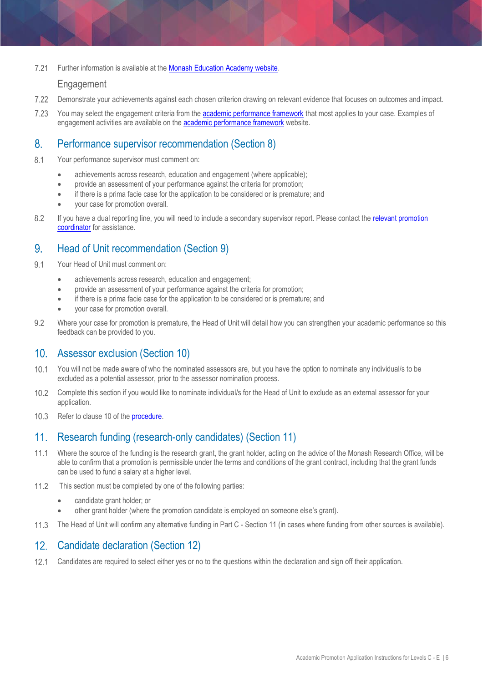<span id="page-5-0"></span>7 21 Further information is available at the [Monash Education Academy website.](https://www.monash.edu/learning-teaching/awards-and-recognition/education-performance-standards)

### **Engagement**

- 7.22 Demonstrate your achievements against each chosen criterion drawing on relevant evidence that focuses on outcomes and impact.
- 7.23 You may select the engagement criteria from the [academic performance framework](https://www.monash.edu/academicpromotion/academic-performance-framework) that most applies to your case. Examples of engagement activities are available on the **academic performance framework** website.

#### <span id="page-5-1"></span>8. Performance supervisor recommendation (Section 8)

- 8.1 Your performance supervisor must comment on:
	- achievements across research, education and engagement (where applicable);
	- provide an assessment of your performance against the criteria for promotion;
	- if there is a prima facie case for the application to be considered or is premature; and
	- your case for promotion overall.
- If you have a dual reporting line, you will need to include a secondary supervisor report. Please contact the [relevant promotion](https://www.monash.edu/academicpromotion/contact-us)  8.2 [coordinator](https://www.monash.edu/academicpromotion/contact-us) for assistance.

#### <span id="page-5-2"></span> $9<sub>1</sub>$ Head of Unit recommendation (Section 9)

- $9.1$ Your Head of Unit must comment on:
	- achievements across research, education and engagement;
	- provide an assessment of your performance against the criteria for promotion;
	- if there is a prima facie case for the application to be considered or is premature; and
	- your case for promotion overall.
- $9.2$ Where your case for promotion is premature, the Head of Unit will detail how you can strengthen your academic performance so this feedback can be provided to you.

# <span id="page-5-3"></span>10. Assessor exclusion (Section 10)

- $10.1$ You will not be made aware of who the nominated assessors are, but you have the option to nominate any individual/s to be excluded as a potential assessor, prior to the assessor nomination process.
- $10.2$ Complete this section if you would like to nominate individual/s for the Head of Unit to exclude as an external assessor for your application.
- $10.3$ Refer to clause 10 of th[e procedure.](https://www.monash.edu/__data/assets/pdf_file/0020/783002/Academic-Promotion-Level-C-E.pdf)

# <span id="page-5-4"></span>11. Research funding (research-only candidates) (Section 11)

- $11.1$ Where the source of the funding is the research grant, the grant holder, acting on the advice of the Monash Research Office, will be able to confirm that a promotion is permissible under the terms and conditions of the grant contract, including that the grant funds can be used to fund a salary at a higher level.
- $112$ This section must be completed by one of the following parties:
	- candidate grant holder; or
	- other grant holder (where the promotion candidate is employed on someone else's grant).
- $11.3$ The Head of Unit will confirm any alternative funding in Part C - Section 11 (in cases where funding from other sources is available).

#### <span id="page-5-5"></span> $12.$ Candidate declaration (Section 12)

 $12.1$ Candidates are required to select either yes or no to the questions within the declaration and sign off their application.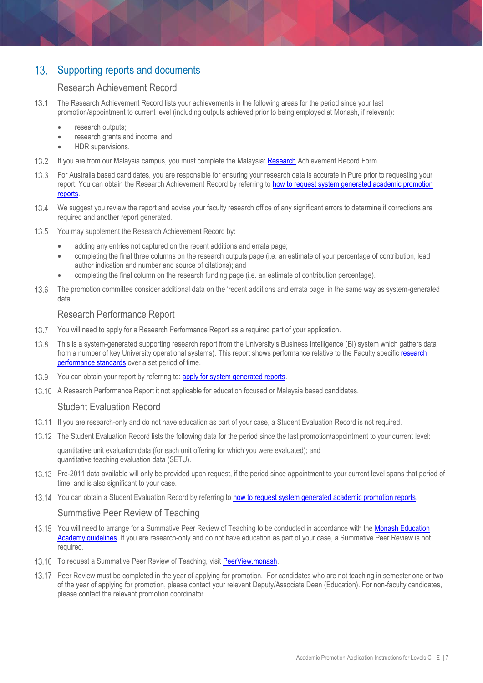# <span id="page-6-0"></span>13. Supporting reports and documents

### Research Achievement Record

- <span id="page-6-1"></span> $13.1$ The Research Achievement Record lists your achievements in the following areas for the period since your last promotion/appointment to current level (including outputs achieved prior to being employed at Monash, if relevant):
	- research outputs:
	- research grants and income; and
	- HDR supervisions.
- If you are from our Malaysia campus, you must complete the Malaysia: [Research](https://www.monash.edu/academicpromotion/forms,-procedures-and-guides#Forms-1) Achievement Record Form.  $13.2$
- For Australia based candidates, you are responsible for ensuring your research data is accurate in Pure prior to requesting your  $13.3$ report. You can obtain the Research Achievement Record by referring to [how to request system generated academic promotion](https://www.monash.edu/__data/assets/pdf_file/0005/840983/Apply-for-system-generated-reports.pdf)  [reports.](https://www.monash.edu/__data/assets/pdf_file/0005/840983/Apply-for-system-generated-reports.pdf)
- $13.4$ We suggest you review the report and advise your faculty research office of any significant errors to determine if corrections are required and another report generated.
- $13.5$ You may supplement the Research Achievement Record by:
	- adding any entries not captured on the recent additions and errata page;
	- completing the final three columns on the research outputs page (i.e. an estimate of your percentage of contribution, lead author indication and number and source of citations); and
	- completing the final column on the research funding page (i.e. an estimate of contribution percentage).
- 13.6 The promotion committee consider additional data on the 'recent additions and errata page' in the same way as system-generated data.

### Research Performance Report

- <span id="page-6-2"></span>You will need to apply for a Research Performance Report as a required part of your application.  $13.7$
- 13.8 This is a system-generated supporting research report from the University's Business Intelligence (BI) system which gathers data from a number of key University operational systems). This report shows performance relative to the Faculty specific research [performance standards](https://www.monash.edu/academicpromotion/academic-performance-framework) over a set period of time.
- 13.9 You can obtain your report by referring to: **apply for system generated reports**.
- <span id="page-6-3"></span>13.10 A Research Performance Report it not applicable for education focused or Malaysia based candidates.

### Student Evaluation Record

- If you are research-only and do not have education as part of your case, a Student Evaluation Record is not required.
- The Student Evaluation Record lists the following data for the period since the last promotion/appointment to your current level:

quantitative unit evaluation data (for each unit offering for which you were evaluated); and quantitative teaching evaluation data (SETU).

- 13.13 Pre-2011 data available will only be provided upon request, if the period since appointment to your current level spans that period of time, and is also significant to your case.
- <span id="page-6-4"></span>13.14 You can obtain a Student Evaluation Record by referring t[o how to request system generated academic promotion reports.](https://www.monash.edu/__data/assets/pdf_file/0005/840983/Apply-for-system-generated-reports.pdf)

### Summative Peer Review of Teaching

- 13.15 You will need to arrange for a Summative Peer Review of Teaching to be conducted in accordance with the Monash Education [Academy guidelines.](https://www.monash.edu/learning-teaching/mea/professional-learning-and-practice/peer-review) If you are research-only and do not have education as part of your case, a Summative Peer Review is not required.
- 13.16 To request a Summative Peer Review of Teaching, visit [PeerView.monash.](https://www.monash.edu/learning-teaching/mea/professional-learning-and-practice/peer-review)
- Peer Review must be completed in the year of applying for promotion. For candidates who are not teaching in semester one or two of the year of applying for promotion, please contact your relevant Deputy/Associate Dean (Education). For non-faculty candidates, please contact the [relevant promotion coordinator.](https://www.monash.edu/academicpromotion/contact-us)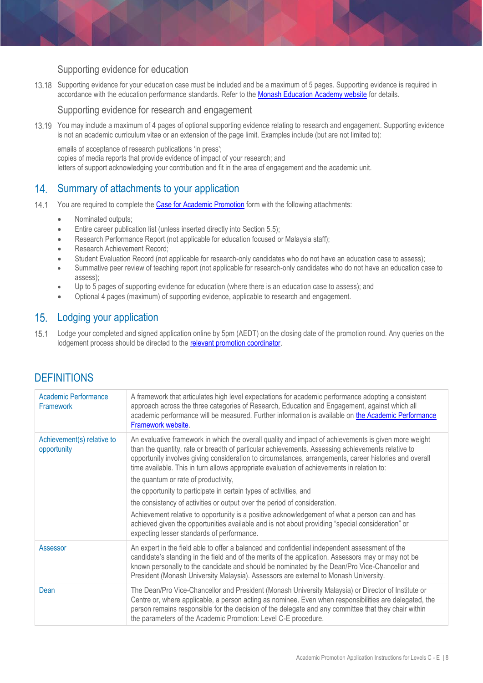### Supporting evidence for education

<span id="page-7-0"></span>13.18 Supporting evidence for your education case must be included and be a maximum of 5 pages. Supporting evidence is required in accordance with the education performance standards. [Refer to the Monash Education Academy website](https://www.monash.edu/learning-teaching/mea/education-performance-and-recognition/education-performance-standards) for details.

### Supporting evidence for research and engagement

<span id="page-7-1"></span>13.19 You may include a maximum of 4 pages of optional supporting evidence relating to research and engagement. Supporting evidence is not an academic curriculum vitae or an extension of the page limit. Examples include (but are not limited to):

emails of acceptance of research publications 'in press'; copies of media reports that provide evidence of impact of your research; and letters of support acknowledging your contribution and fit in the area of engagement and the academic unit.

# <span id="page-7-2"></span>14. Summary of attachments to your application

- 14.1 You are required to complete th[e Case for Academic Promotion](https://www.monash.edu/__data/assets/word_doc/0015/1810230/Case-for-Academic-Promotion-Form-Levels-C-E-2019.docx) form with the following attachments:
	- Nominated outputs;
	- Entire career publication list (unless inserted directly into Section 5.5):
	- Research Performance Report (not applicable for education focused or Malaysia staff);
	- Research Achievement Record;
	- Student Evaluation Record (not applicable for research-only candidates who do not have an education case to assess);
	- Summative peer review of teaching report (not applicable for research-only candidates who do not have an education case to assess);
	- Up to 5 pages of supporting evidence for education (where there is an education case to assess); and
	- Optional 4 pages (maximum) of supporting evidence, applicable to research and engagement.

## <span id="page-7-3"></span>15. Lodging your application

 $15.1$ Lodge your completed and signed application [online](https://www.monash.edu/academicpromotion/how-to-apply) by 5pm (AEDT) on the closing date of the promotion round. Any queries on the lodgement process should be directed to the relevant [promotion coordinator.](https://www.monash.edu/academicpromotion/contact-us)

| <b>Academic Performance</b><br><b>Framework</b> | A framework that articulates high level expectations for academic performance adopting a consistent<br>approach across the three categories of Research, Education and Engagement, against which all<br>academic performance will be measured. Further information is available on the Academic Performance<br>Framework website.                                                                                                                                                                                                                                                                                                                                                                                                                                                                                                                                |
|-------------------------------------------------|------------------------------------------------------------------------------------------------------------------------------------------------------------------------------------------------------------------------------------------------------------------------------------------------------------------------------------------------------------------------------------------------------------------------------------------------------------------------------------------------------------------------------------------------------------------------------------------------------------------------------------------------------------------------------------------------------------------------------------------------------------------------------------------------------------------------------------------------------------------|
| Achievement(s) relative to<br>opportunity       | An evaluative framework in which the overall quality and impact of achievements is given more weight<br>than the quantity, rate or breadth of particular achievements. Assessing achievements relative to<br>opportunity involves giving consideration to circumstances, arrangements, career histories and overall<br>time available. This in turn allows appropriate evaluation of achievements in relation to:<br>the quantum or rate of productivity,<br>the opportunity to participate in certain types of activities, and<br>the consistency of activities or output over the period of consideration.<br>Achievement relative to opportunity is a positive acknowledgement of what a person can and has<br>achieved given the opportunities available and is not about providing "special consideration" or<br>expecting lesser standards of performance. |
| Assessor                                        | An expert in the field able to offer a balanced and confidential independent assessment of the<br>candidate's standing in the field and of the merits of the application. Assessors may or may not be<br>known personally to the candidate and should be nominated by the Dean/Pro Vice-Chancellor and<br>President (Monash University Malaysia). Assessors are external to Monash University.                                                                                                                                                                                                                                                                                                                                                                                                                                                                   |
| Dean                                            | The Dean/Pro Vice-Chancellor and President (Monash University Malaysia) or Director of Institute or<br>Centre or, where applicable, a person acting as nominee. Even when responsibilities are delegated, the<br>person remains responsible for the decision of the delegate and any committee that they chair within<br>the parameters of the Academic Promotion: Level C-E procedure.                                                                                                                                                                                                                                                                                                                                                                                                                                                                          |

# <span id="page-7-4"></span>**DEFINITIONS**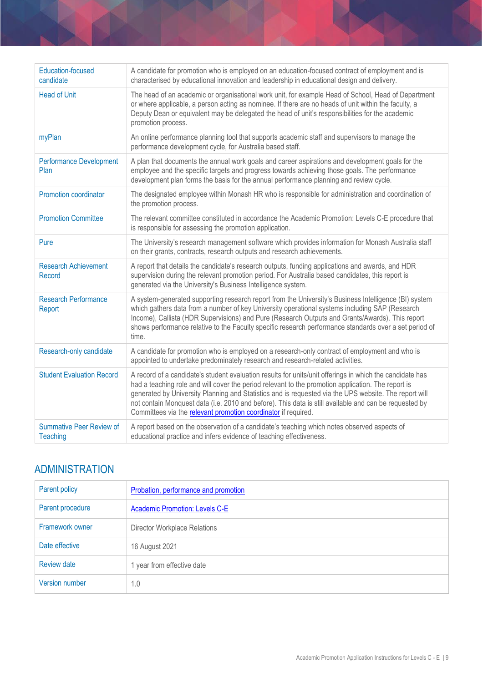| <b>Education-focused</b><br>candidate        | A candidate for promotion who is employed on an education-focused contract of employment and is<br>characterised by educational innovation and leadership in educational design and delivery.                                                                                                                                                                                                                                                                                                       |  |
|----------------------------------------------|-----------------------------------------------------------------------------------------------------------------------------------------------------------------------------------------------------------------------------------------------------------------------------------------------------------------------------------------------------------------------------------------------------------------------------------------------------------------------------------------------------|--|
| <b>Head of Unit</b>                          | The head of an academic or organisational work unit, for example Head of School, Head of Department<br>or where applicable, a person acting as nominee. If there are no heads of unit within the faculty, a<br>Deputy Dean or equivalent may be delegated the head of unit's responsibilities for the academic<br>promotion process.                                                                                                                                                                |  |
| myPlan                                       | An online performance planning tool that supports academic staff and supervisors to manage the<br>performance development cycle, for Australia based staff.                                                                                                                                                                                                                                                                                                                                         |  |
| <b>Performance Development</b><br>Plan       | A plan that documents the annual work goals and career aspirations and development goals for the<br>employee and the specific targets and progress towards achieving those goals. The performance<br>development plan forms the basis for the annual performance planning and review cycle.                                                                                                                                                                                                         |  |
| Promotion coordinator                        | The designated employee within Monash HR who is responsible for administration and coordination of<br>the promotion process.                                                                                                                                                                                                                                                                                                                                                                        |  |
| <b>Promotion Committee</b>                   | The relevant committee constituted in accordance the Academic Promotion: Levels C-E procedure that<br>is responsible for assessing the promotion application.                                                                                                                                                                                                                                                                                                                                       |  |
| Pure                                         | The University's research management software which provides information for Monash Australia staff<br>on their grants, contracts, research outputs and research achievements.                                                                                                                                                                                                                                                                                                                      |  |
| <b>Research Achievement</b><br><b>Record</b> | A report that details the candidate's research outputs, funding applications and awards, and HDR<br>supervision during the relevant promotion period. For Australia based candidates, this report is<br>generated via the University's Business Intelligence system.                                                                                                                                                                                                                                |  |
| <b>Research Performance</b><br>Report        | A system-generated supporting research report from the University's Business Intelligence (BI) system<br>which gathers data from a number of key University operational systems including SAP (Research<br>Income), Callista (HDR Supervisions) and Pure (Research Outputs and Grants/Awards). This report<br>shows performance relative to the Faculty specific research performance standards over a set period of<br>time.                                                                       |  |
| Research-only candidate                      | A candidate for promotion who is employed on a research-only contract of employment and who is<br>appointed to undertake predominately research and research-related activities.                                                                                                                                                                                                                                                                                                                    |  |
| <b>Student Evaluation Record</b>             | A record of a candidate's student evaluation results for units/unit offerings in which the candidate has<br>had a teaching role and will cover the period relevant to the promotion application. The report is<br>generated by University Planning and Statistics and is requested via the UPS website. The report will<br>not contain Monquest data (i.e. 2010 and before). This data is still available and can be requested by<br>Committees via the relevant promotion coordinator if required. |  |
| <b>Summative Peer Review of</b><br>Teaching  | A report based on the observation of a candidate's teaching which notes observed aspects of<br>educational practice and infers evidence of teaching effectiveness.                                                                                                                                                                                                                                                                                                                                  |  |

# <span id="page-8-0"></span>ADMINISTRATION

| Parent policy      | Probation, performance and promotion  |
|--------------------|---------------------------------------|
| Parent procedure   | <b>Academic Promotion: Levels C-E</b> |
| Framework owner    | <b>Director Workplace Relations</b>   |
| Date effective     | 16 August 2021                        |
| <b>Review date</b> | 1 year from effective date            |
| Version number     | 1.0                                   |